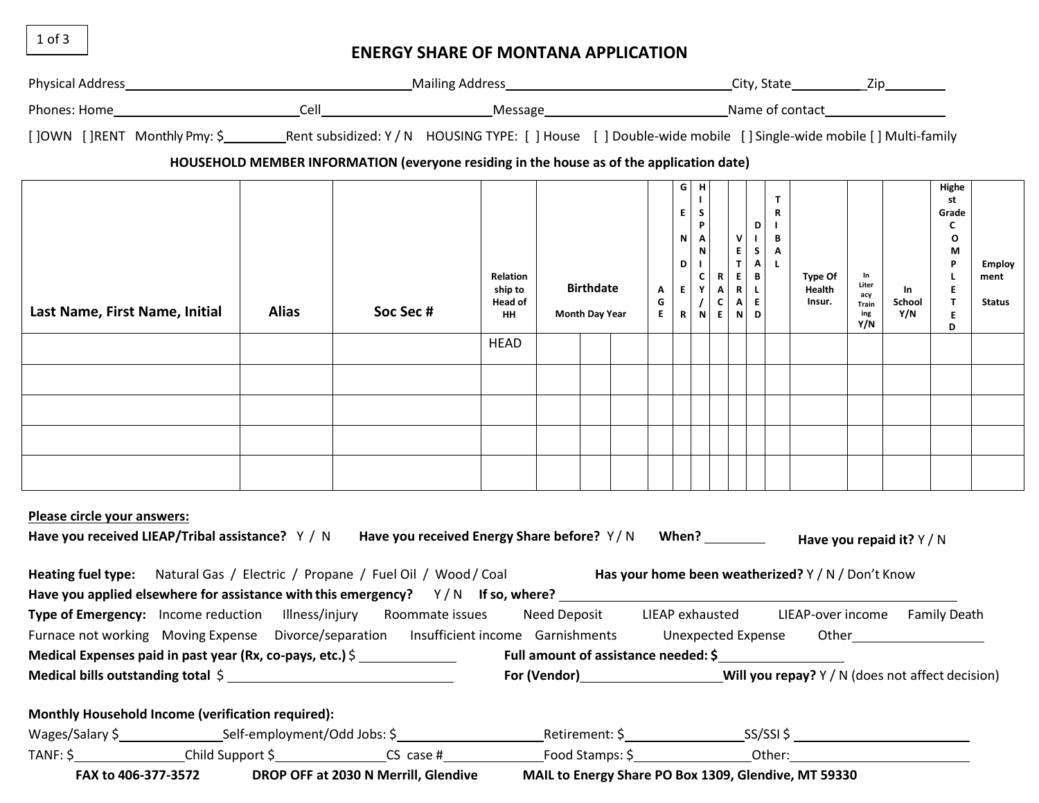1 of 3

## **ENERGY SHARE OF MONTANA APPLICATION**

| []OWN []RENT Monthly Pmy: \$ _____________Rent subsidized: Y / N HOUSING TYPE: [] House [] Double-wide mobile [] Single-wide mobile [] Multi-family                                                                                                                                                   |              |                                                                                          |                                                     |  |                                           |        |  |                                                                                                                                                                                             |              |                                         |                                                                                       |                             |                                           |                     |                                                                                    |                                        |
|-------------------------------------------------------------------------------------------------------------------------------------------------------------------------------------------------------------------------------------------------------------------------------------------------------|--------------|------------------------------------------------------------------------------------------|-----------------------------------------------------|--|-------------------------------------------|--------|--|---------------------------------------------------------------------------------------------------------------------------------------------------------------------------------------------|--------------|-----------------------------------------|---------------------------------------------------------------------------------------|-----------------------------|-------------------------------------------|---------------------|------------------------------------------------------------------------------------|----------------------------------------|
|                                                                                                                                                                                                                                                                                                       |              | HOUSEHOLD MEMBER INFORMATION (everyone residing in the house as of the application date) |                                                     |  |                                           |        |  |                                                                                                                                                                                             |              |                                         |                                                                                       |                             |                                           |                     |                                                                                    |                                        |
| Last Name, First Name, Initial                                                                                                                                                                                                                                                                        | <b>Alias</b> | Soc Sec #                                                                                | <b>Relation</b><br>ship to<br><b>Head of</b><br>HH. |  | <b>Birthdate</b><br><b>Month Day Year</b> | A<br>G |  | G   H<br>$\blacksquare$<br>$E$ $S$<br>$N$ $P$ $V$<br>N<br>$ 1 $ $ 1 $<br>$E \begin{array}{ c c c c c } \hline C & R & E \\ \hline F & A & R \\ \hline \end{array}$<br>E   R   N   E   N   D | E<br>$/$ C A | $\mathbf{B}$<br>$\  \mathbf{L} \ $<br>E | $\mathbf{T}$<br>$\mathbf R$<br>$D$ $\vert$<br>$\mathbf{I}$ B<br>$S$ $A$<br>$A \mid L$ | Type Of<br>Health<br>Insur. | In<br>Liter<br>acy<br>Train<br>ing<br>Y/N | In<br>School<br>Y/N | Highe<br>st<br>Grade<br>C<br>$\mathbf{o}$<br>M<br>P<br>E<br>$\mathbf{T}$<br>Е<br>D | <b>Employ</b><br>ment<br><b>Status</b> |
|                                                                                                                                                                                                                                                                                                       |              |                                                                                          | <b>HEAD</b>                                         |  |                                           |        |  |                                                                                                                                                                                             |              |                                         |                                                                                       |                             |                                           |                     |                                                                                    |                                        |
|                                                                                                                                                                                                                                                                                                       |              |                                                                                          |                                                     |  |                                           |        |  |                                                                                                                                                                                             |              |                                         |                                                                                       |                             |                                           |                     |                                                                                    |                                        |
|                                                                                                                                                                                                                                                                                                       |              |                                                                                          |                                                     |  |                                           |        |  |                                                                                                                                                                                             |              |                                         |                                                                                       |                             |                                           |                     |                                                                                    |                                        |
|                                                                                                                                                                                                                                                                                                       |              |                                                                                          |                                                     |  |                                           |        |  |                                                                                                                                                                                             |              |                                         |                                                                                       |                             |                                           |                     |                                                                                    |                                        |
|                                                                                                                                                                                                                                                                                                       |              |                                                                                          |                                                     |  |                                           |        |  |                                                                                                                                                                                             |              |                                         |                                                                                       |                             |                                           |                     |                                                                                    |                                        |
|                                                                                                                                                                                                                                                                                                       |              |                                                                                          |                                                     |  |                                           |        |  |                                                                                                                                                                                             |              |                                         |                                                                                       |                             |                                           |                     |                                                                                    |                                        |
| Please circle your answers:<br>Have you received LIEAP/Tribal assistance? Y / N Have you received Energy Share before? Y / N When? _______ Have you repaid it? Y / N<br>Heating fuel type: Natural Gas / Electric / Propane / Fuel Oil / Wood/Coal Has your home been weatherized? Y / N / Don't Know |              |                                                                                          |                                                     |  |                                           |        |  |                                                                                                                                                                                             |              |                                         |                                                                                       |                             |                                           |                     |                                                                                    |                                        |
| Type of Emergency: Income reduction Illness/injury Roommate issues Need Deposit LIEAP exhausted LIEAP-over income Family Death                                                                                                                                                                        |              |                                                                                          |                                                     |  |                                           |        |  |                                                                                                                                                                                             |              |                                         |                                                                                       |                             |                                           |                     |                                                                                    |                                        |
| Furnace not working Moving Expense Divorce/separation Insufficient income Garnishments Unexpected Expense                                                                                                                                                                                             |              |                                                                                          |                                                     |  |                                           |        |  |                                                                                                                                                                                             |              |                                         |                                                                                       |                             |                                           |                     |                                                                                    |                                        |
| Medical Expenses paid in past year (Rx, co-pays, etc.) \$ Full amount of assistance needed: \$<br>Medical bills outstanding total \$                                                                                                                                                                  |              |                                                                                          |                                                     |  |                                           |        |  |                                                                                                                                                                                             |              |                                         |                                                                                       |                             |                                           |                     |                                                                                    |                                        |
|                                                                                                                                                                                                                                                                                                       |              |                                                                                          |                                                     |  |                                           |        |  |                                                                                                                                                                                             |              |                                         |                                                                                       |                             |                                           |                     |                                                                                    |                                        |
| Monthly Household Income (verification required):                                                                                                                                                                                                                                                     |              |                                                                                          |                                                     |  |                                           |        |  |                                                                                                                                                                                             |              |                                         |                                                                                       |                             |                                           |                     |                                                                                    |                                        |
| Wages/Salary \$_________________________Self-employment/Odd Jobs: \$______________                                                                                                                                                                                                                    |              |                                                                                          |                                                     |  |                                           |        |  |                                                                                                                                                                                             |              |                                         |                                                                                       |                             |                                           |                     |                                                                                    |                                        |
|                                                                                                                                                                                                                                                                                                       |              |                                                                                          |                                                     |  |                                           |        |  |                                                                                                                                                                                             |              |                                         |                                                                                       |                             |                                           |                     |                                                                                    |                                        |

**FAX to 406-377-3572 DROP OFF at 2030 N Merrill, Glendive MAIL to Energy Share PO Box 1309, Glendive, MT 59330**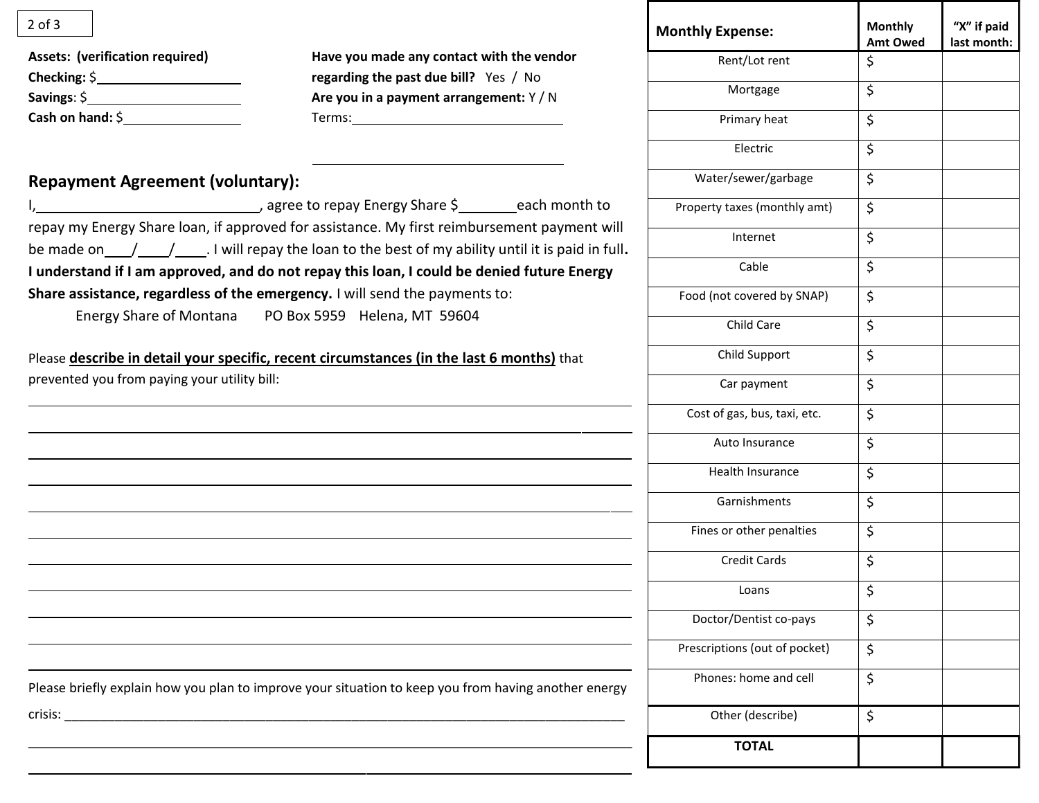| <b>Assets: (verification required)</b> |
|----------------------------------------|
| Checking: $\oint$                      |
| Savings: $$$                           |
| Cash on hand: $\zeta$                  |

## **Repayment Agreement (voluntary):**

| Please briefly explain how you plan to improve your situation to keep you from having another energy |
|------------------------------------------------------------------------------------------------------|
| crisis:                                                                                              |

| $2$ of $3$                                                                  |                                                                                                                                                                                                            | <b>Monthly Expense:</b>       | <b>Monthly</b><br><b>Amt Owed</b> | "X" if paid<br>last month: |
|-----------------------------------------------------------------------------|------------------------------------------------------------------------------------------------------------------------------------------------------------------------------------------------------------|-------------------------------|-----------------------------------|----------------------------|
| <b>Assets: (verification required)</b>                                      | Have you made any contact with the vendor                                                                                                                                                                  | Rent/Lot rent                 | \$                                |                            |
|                                                                             | regarding the past due bill? Yes / No<br>Are you in a payment arrangement: Y / N                                                                                                                           | Mortgage                      | \$                                |                            |
| Cash on hand: $\frac{1}{2}$                                                 | Terms: Terms:                                                                                                                                                                                              | Primary heat                  | \$                                |                            |
|                                                                             |                                                                                                                                                                                                            | Electric                      | \$                                |                            |
| <b>Repayment Agreement (voluntary):</b>                                     |                                                                                                                                                                                                            | Water/sewer/garbage           | \$                                |                            |
|                                                                             |                                                                                                                                                                                                            | Property taxes (monthly amt)  | \$                                |                            |
|                                                                             | repay my Energy Share loan, if approved for assistance. My first reimbursement payment will<br>be made on $\frac{1}{\sqrt{2}}$ , I will repay the loan to the best of my ability until it is paid in full. | Internet                      | \$                                |                            |
|                                                                             | I understand if I am approved, and do not repay this loan, I could be denied future Energy                                                                                                                 | Cable                         | \$                                |                            |
| Share assistance, regardless of the emergency. I will send the payments to: |                                                                                                                                                                                                            | Food (not covered by SNAP)    | \$                                |                            |
| Energy Share of Montana PO Box 5959 Helena, MT 59604                        |                                                                                                                                                                                                            | Child Care                    | \$                                |                            |
|                                                                             | Please describe in detail your specific, recent circumstances (in the last 6 months) that                                                                                                                  | Child Support                 | \$                                |                            |
| prevented you from paying your utility bill:                                |                                                                                                                                                                                                            | Car payment                   | \$                                |                            |
|                                                                             |                                                                                                                                                                                                            | Cost of gas, bus, taxi, etc.  | \$                                |                            |
|                                                                             |                                                                                                                                                                                                            | Auto Insurance                | \$                                |                            |
|                                                                             |                                                                                                                                                                                                            | Health Insurance              | \$                                |                            |
|                                                                             |                                                                                                                                                                                                            | Garnishments                  | \$                                |                            |
|                                                                             |                                                                                                                                                                                                            | Fines or other penalties      | \$                                |                            |
|                                                                             |                                                                                                                                                                                                            | <b>Credit Cards</b>           | \$                                |                            |
|                                                                             |                                                                                                                                                                                                            | Loans                         | \$                                |                            |
|                                                                             |                                                                                                                                                                                                            | Doctor/Dentist co-pays        | \$                                |                            |
|                                                                             |                                                                                                                                                                                                            | Prescriptions (out of pocket) | \$                                |                            |
|                                                                             | Please briefly explain how you plan to improve your situation to keep you from having another energy                                                                                                       | Phones: home and cell         | \$                                |                            |
|                                                                             |                                                                                                                                                                                                            | Other (describe)              | \$                                |                            |
|                                                                             |                                                                                                                                                                                                            | <b>TOTAL</b>                  |                                   |                            |

Т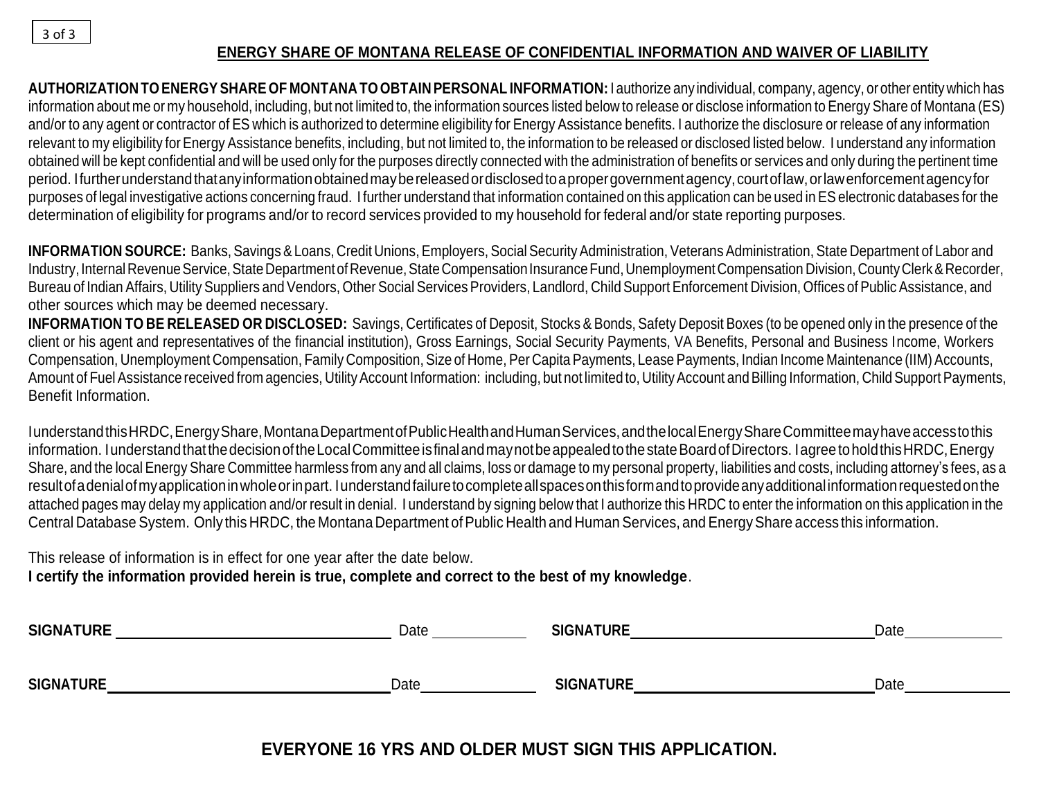## **ENERGY SHARE OF MONTANA RELEASE OF CONFIDENTIAL INFORMATION AND WAIVER OF LIABILITY**

**AUTHORIZATION TO ENERGYSHARE OF MONTANA TO OBTAIN PERSONAL INFORMATION:** I authorize any individual, company, agency, or other entity which has information about me or my household, including, but not limited to, the information sources listed below to release or disclose information to Energy Share of Montana (ES) and/or to any agent or contractor of ES which is authorized to determine eligibility for Energy Assistance benefits. I authorize the disclosure or release of any information relevant to my eligibility for Energy Assistance benefits, including, but not limited to, the information to be released or disclosed listed below. I understand any information obtained will be kept confidential and will be used only for the purposes directly connected with the administration of benefits or services and only during the pertinent time period. Ifurtherunderstandthatanyinformationobtainedmaybereleasedordisclosedtoapropergovernmentagency,courtoflaw,orlawenforcementagencyfor purposes of legal investigative actions concerning fraud. I further understand that information contained on this application can be used in ES electronic databases for the determination of eligibility for programs and/or to record services provided to my household for federal and/or state reporting purposes.

**INFORMATION SOURCE:** Banks, Savings & Loans, Credit Unions, Employers, Social Security Administration, Veterans Administration, State Department of Labor and Industry, Internal Revenue Service, State Department of Revenue, State Compensation Insurance Fund, Unemployment Compensation Division, County Clerk & Recorder, Bureau of Indian Affairs, Utility Suppliers and Vendors, Other Social Services Providers, Landlord, Child Support Enforcement Division, Offices of Public Assistance, and other sources which may be deemed necessary.

**INFORMATION TO BE RELEASED OR DISCLOSED:** Savings, Certificates of Deposit, Stocks & Bonds, Safety Deposit Boxes (to be opened only in the presence of the client or his agent and representatives of the financial institution), Gross Earnings, Social Security Payments, VA Benefits, Personal and Business Income, Workers Compensation, Unemployment Compensation, Family Composition, Size of Home, Per Capita Payments, Lease Payments, Indian Income Maintenance (IIM) Accounts, Amount of Fuel Assistance received from agencies, Utility Account Information: including, but not limited to, Utility Account and Billing Information, Child Support Payments, Benefit Information.

IunderstandthisHRDC,EnergyShare,MontanaDepartmentofPublicHealthandHumanServices,andthelocalEnergyShareCommitteemayhaveaccesstothis information. I understand that the decision of the Local Committee is final and may not be appealed to the state Board of Directors. I agree to hold this HRDC, Energy Share, and the local Energy Share Committee harmless from any and all claims, loss or damage to my personal property, liabilities and costs, including attorney's fees, as a resultofadenialofmyapplicationinwholeorinpart. Iunderstandfailuretocompleteallspacesonthisformandtoprovideanyadditionalinformationrequestedonthe attached pages may delay my application and/or result in denial. I understand by signing below that I authorize this HRDC to enter the information on this application in the Central Database System. Only this HRDC, the Montana Department of Public Health and Human Services, and Energy Share access this information.

This release of information is in effect for one year after the date below. **I certify the information provided herein is true, complete and correct to the best of my knowledge**.

| <b>SIGNATURE</b> | Date | <b>SIGNATURE</b> | Date |
|------------------|------|------------------|------|
| <b>SIGNATURE</b> | Date | <b>SIGNATURE</b> | Date |

**EVERYONE 16 YRS AND OLDER MUST SIGN THIS APPLICATION.**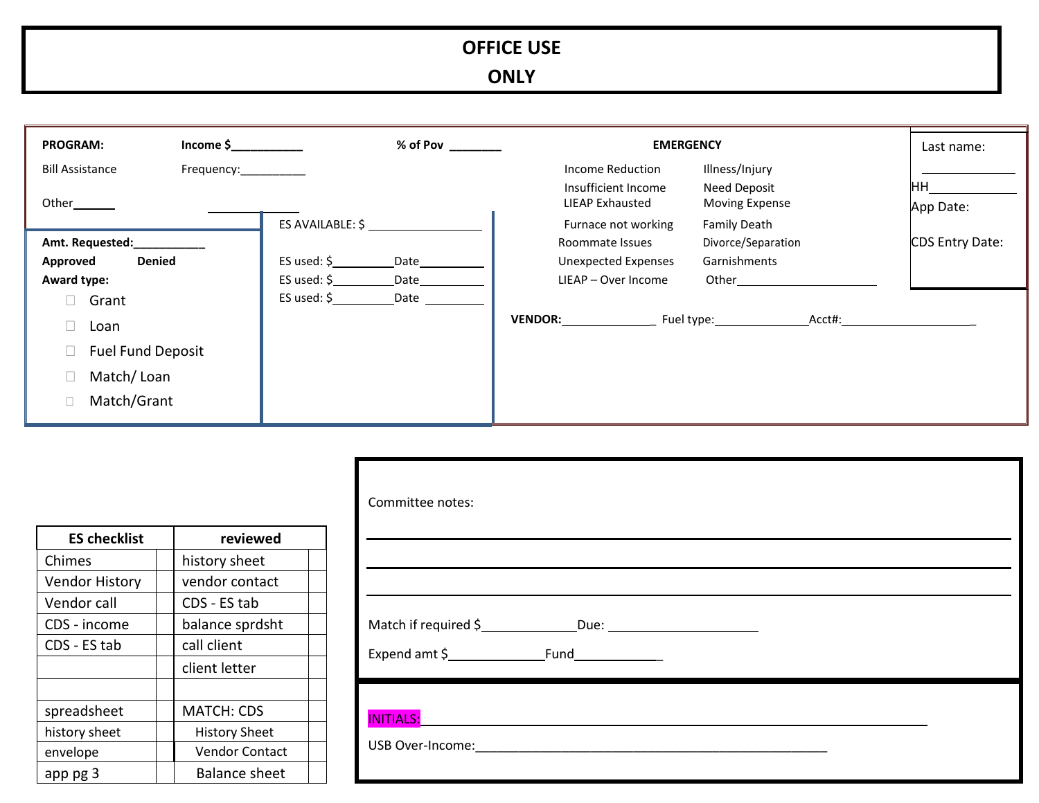# **OFFICE USE**

**ONLY**

| <b>PROGRAM:</b>                                                      | $Income$ \$           | % of Pov                                                                                     | <b>EMERGENCY</b>                                                     | Last name:                                              |                 |
|----------------------------------------------------------------------|-----------------------|----------------------------------------------------------------------------------------------|----------------------------------------------------------------------|---------------------------------------------------------|-----------------|
| <b>Bill Assistance</b><br>Other_____                                 | Frequency:___________ |                                                                                              | Income Reduction<br>Insufficient Income<br>LIEAP Exhausted           | Illness/Injury<br>Need Deposit<br><b>Moving Expense</b> | ΗН              |
|                                                                      |                       | ES AVAILABLE: \$                                                                             | Furnace not working                                                  | <b>Family Death</b>                                     | App Date:       |
| Amt. Requested:<br><b>Denied</b><br>Approved<br>Award type:<br>Grant |                       | ES used: $\frac{1}{2}$<br>Date<br>ES used: $\frac{1}{2}$<br>Date<br>ES used: $\zeta$<br>Date | Roommate Issues<br><b>Unexpected Expenses</b><br>LIEAP - Over Income | Divorce/Separation<br>Garnishments<br>Other             | CDS Entry Date: |
| Loan<br><b>Fuel Fund Deposit</b><br>Match/Loan<br>Match/Grant        |                       |                                                                                              | <b>VENDOR:</b>                                                       | Fuel type:<br>Acct#:                                    |                 |

| <b>ES checklist</b>   | reviewed              |
|-----------------------|-----------------------|
| Chimes                | history sheet         |
| <b>Vendor History</b> | vendor contact        |
| Vendor call           | CDS - ES tab          |
| CDS - income          | balance sprdsht       |
| CDS - ES tab          | call client           |
|                       | client letter         |
|                       |                       |
| spreadsheet           | <b>MATCH: CDS</b>     |
| history sheet         | <b>History Sheet</b>  |
| envelope              | <b>Vendor Contact</b> |
| app pg 3              | <b>Balance sheet</b>  |

| Committee notes: |
|------------------|
|                  |
|                  |
| <b>INITIALS:</b> |